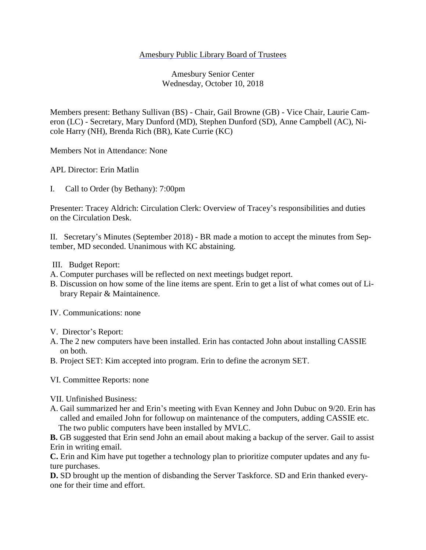## Amesbury Public Library Board of Trustees

Amesbury Senior Center Wednesday, October 10, 2018

Members present: Bethany Sullivan (BS) - Chair, Gail Browne (GB) - Vice Chair, Laurie Cameron (LC) - Secretary, Mary Dunford (MD), Stephen Dunford (SD), Anne Campbell (AC), Nicole Harry (NH), Brenda Rich (BR), Kate Currie (KC)

Members Not in Attendance: None

APL Director: Erin Matlin

I. Call to Order (by Bethany): 7:00pm

Presenter: Tracey Aldrich: Circulation Clerk: Overview of Tracey's responsibilities and duties on the Circulation Desk.

II. Secretary's Minutes (September 2018) - BR made a motion to accept the minutes from September, MD seconded. Unanimous with KC abstaining.

- III. Budget Report:
- A. Computer purchases will be reflected on next meetings budget report.
- B. Discussion on how some of the line items are spent. Erin to get a list of what comes out of Library Repair & Maintainence.
- IV. Communications: none
- V. Director's Report:
- A. The 2 new computers have been installed. Erin has contacted John about installing CASSIE on both.
- B. Project SET: Kim accepted into program. Erin to define the acronym SET.

VI. Committee Reports: none

VII. Unfinished Business:

A. Gail summarized her and Erin's meeting with Evan Kenney and John Dubuc on 9/20. Erin has called and emailed John for followup on maintenance of the computers, adding CASSIE etc. The two public computers have been installed by MVLC.

**B.** GB suggested that Erin send John an email about making a backup of the server. Gail to assist Erin in writing email.

**C.** Erin and Kim have put together a technology plan to prioritize computer updates and any future purchases.

**D.** SD brought up the mention of disbanding the Server Taskforce. SD and Erin thanked everyone for their time and effort.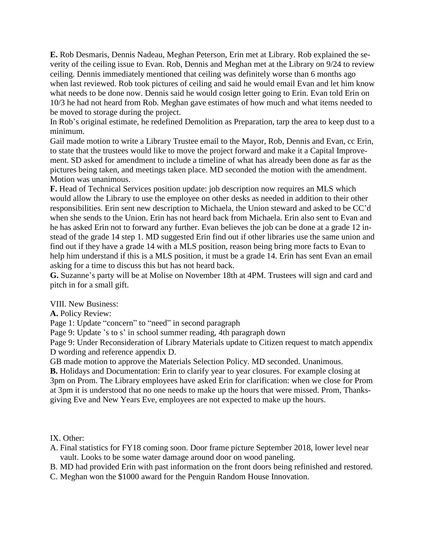**E.** Rob Desmaris, Dennis Nadeau, Meghan Peterson, Erin met at Library. Rob explained the severity of the ceiling issue to Evan. Rob, Dennis and Meghan met at the Library on 9/24 to review ceiling. Dennis immediately mentioned that ceiling was definitely worse than 6 months ago when last reviewed. Rob took pictures of ceiling and said he would email Evan and let him know what needs to be done now. Dennis said he would cosign letter going to Erin. Evan told Erin on 10/3 he had not heard from Rob. Meghan gave estimates of how much and what items needed to be moved to storage during the project.

In Rob's original estimate, he redefined Demolition as Preparation, tarp the area to keep dust to a minimum.

Gail made motion to write a Library Trustee email to the Mayor, Rob, Dennis and Evan, cc Erin, to state that the trustees would like to move the project forward and make it a Capital Improvement. SD asked for amendment to include a timeline of what has already been done as far as the pictures being taken, and meetings taken place. MD seconded the motion with the amendment. Motion was unanimous.

**F.** Head of Technical Services position update: job description now requires an MLS which would allow the Library to use the employee on other desks as needed in addition to their other responsibilities. Erin sent new description to Michaela, the Union steward and asked to be CC'd when she sends to the Union. Erin has not heard back from Michaela. Erin also sent to Evan and he has asked Erin not to forward any further. Evan believes the job can be done at a grade 12 instead of the grade 14 step 1. MD suggested Erin find out if other libraries use the same union and find out if they have a grade 14 with a MLS position, reason being bring more facts to Evan to help him understand if this is a MLS position, it must be a grade 14. Erin has sent Evan an email asking for a time to discuss this but has not heard back.

**G.** Suzanne's party will be at Molise on November 18th at 4PM. Trustees will sign and card and pitch in for a small gift.

VIII. New Business:

**A.** Policy Review:

Page 1: Update "concern" to "need" in second paragraph

Page 9: Update 's to s' in school summer reading, 4th paragraph down

Page 9: Under Reconsideration of Library Materials update to Citizen request to match appendix D wording and reference appendix D.

GB made motion to approve the Materials Selection Policy. MD seconded. Unanimous.

**B.** Holidays and Documentation: Erin to clarify year to year closures. For example closing at 3pm on Prom. The Library employees have asked Erin for clarification: when we close for Prom at 3pm it is understood that no one needs to make up the hours that were missed. Prom, Thanksgiving Eve and New Years Eve, employees are not expected to make up the hours.

IX. Other:

A. Final statistics for FY18 coming soon. Door frame picture September 2018, lower level near vault. Looks to be some water damage around door on wood paneling.

B. MD had provided Erin with past information on the front doors being refinished and restored.

C. Meghan won the \$1000 award for the Penguin Random House Innovation.